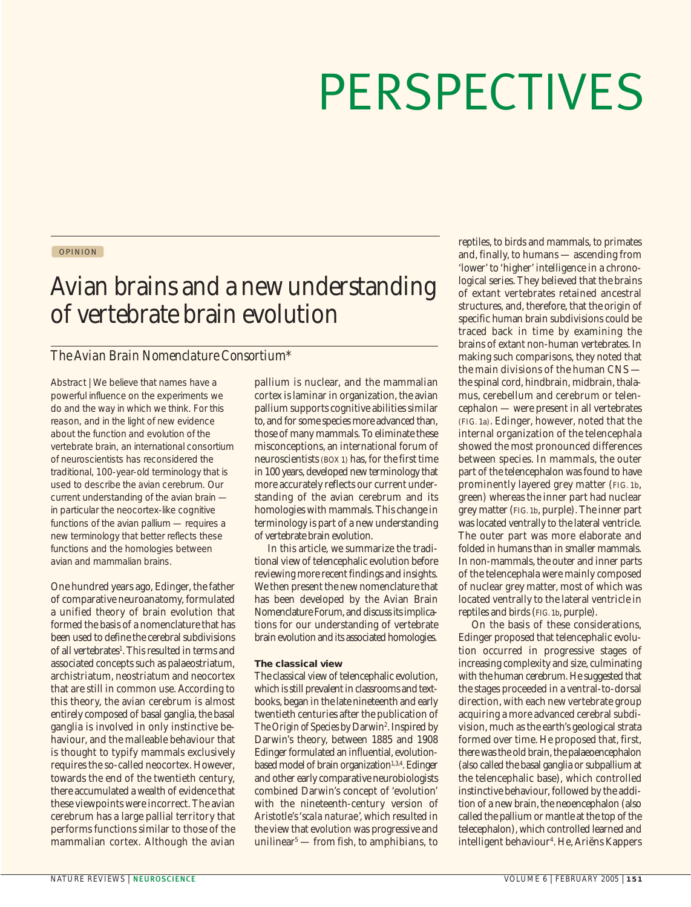#### OPINION

# Avian brains and a new understanding of vertebrate brain evolution

# *The Avian Brain Nomenclature Consortium\**

Abstract | We believe that names have a powerful influence on the experiments we do and the way in which we think. For this reason, and in the light of new evidence about the function and evolution of the vertebrate brain, an international consortium of neuroscientists has reconsidered the traditional, 100-year-old terminology that is used to describe the avian cerebrum. Our current understanding of the avian brain in particular the neocortex-like cognitive functions of the avian pallium — requires a new terminology that better reflects these functions and the homologies between avian and mammalian brains.

One hundred years ago, Edinger, the father of comparative neuroanatomy, formulated a unified theory of brain evolution that formed the basis of a nomenclature that has been used to define the cerebral subdivisions of all vertebrates<sup>1</sup>. This resulted in terms and associated concepts such as palaeostriatum, archistriatum, neostriatum and neocortex that are still in common use. According to this theory, the avian cerebrum is almost entirely composed of basal ganglia, the basal ganglia is involved in only instinctive behaviour, and the malleable behaviour that is thought to typify mammals exclusively requires the so-called neocortex. However, towards the end of the twentieth century, there accumulated a wealth of evidence that these viewpoints were incorrect. The avian cerebrum has a large pallial territory that performs functions similar to those of the mammalian cortex. Although the avian

pallium is nuclear, and the mammalian cortex is laminar in organization, the avian pallium supports cognitive abilities similar to, and for some species more advanced than, those of many mammals. To eliminate these misconceptions, an international forum of neuroscientists (BOX 1) has, for the first time in 100 years, developed new terminology that more accurately reflects our current understanding of the avian cerebrum and its homologies with mammals. This change in terminology is part of a new understanding of vertebrate brain evolution.

In this article, we summarize the traditional view of telencephalic evolution before reviewing more recent findings and insights. We then present the new nomenclature that has been developed by the Avian Brain Nomenclature Forum, and discuss its implications for our understanding of vertebrate brain evolution and its associated homologies.

#### **The classical view**

The classical view of telencephalic evolution, which is still prevalent in classrooms and textbooks, began in the late nineteenth and early twentieth centuries after the publication of The Origin of Species by Darwin<sup>2</sup>. Inspired by Darwin's theory, between 1885 and 1908 Edinger formulated an influential, evolutionbased model of brain organization<sup>1,3,4</sup>. Edinger and other early comparative neurobiologists combined Darwin's concept of 'evolution' with the nineteenth-century version of Aristotle's '*scala naturae*', which resulted in the view that evolution was progressive and unilinear<sup>5</sup> — from fish, to amphibians, to

reptiles, to birds and mammals, to primates and, finally, to humans — ascending from 'lower' to 'higher' intelligence in a chronological series. They believed that the brains of extant vertebrates retained ancestral structures, and, therefore, that the origin of specific human brain subdivisions could be traced back in time by examining the brains of extant non-human vertebrates. In making such comparisons, they noted that the main divisions of the human CNS the spinal cord, hindbrain, midbrain, thalamus, cerebellum and cerebrum or telencephalon — were present in all vertebrates (FIG. 1a). Edinger, however, noted that the internal organization of the telencephala showed the most pronounced differences between species. In mammals, the outer part of the telencephalon was found to have prominently layered grey matter (FIG. 1b, green) whereas the inner part had nuclear grey matter (FIG. 1b, purple). The inner part was located ventrally to the lateral ventricle. The outer part was more elaborate and folded in humans than in smaller mammals. In non-mammals, the outer and inner parts of the telencephala were mainly composed of nuclear grey matter, most of which was located ventrally to the lateral ventricle in reptiles and birds (FIG. 1b, purple).

On the basis of these considerations, Edinger proposed that telencephalic evolution occurred in progressive stages of increasing complexity and size, culminating with the human cerebrum. He suggested that the stages proceeded in a ventral-to-dorsal direction, with each new vertebrate group acquiring a more advanced cerebral subdivision, much as the earth's geological strata formed over time. He proposed that, first, there was the old brain, the palaeoencephalon (also called the basal ganglia or subpallium at the telencephalic base), which controlled instinctive behaviour, followed by the addition of a new brain, the neoencephalon (also called the pallium or mantle at the top of the telecephalon), which controlled learned and intelligent behaviour<sup>4</sup>. He, Ariëns Kappers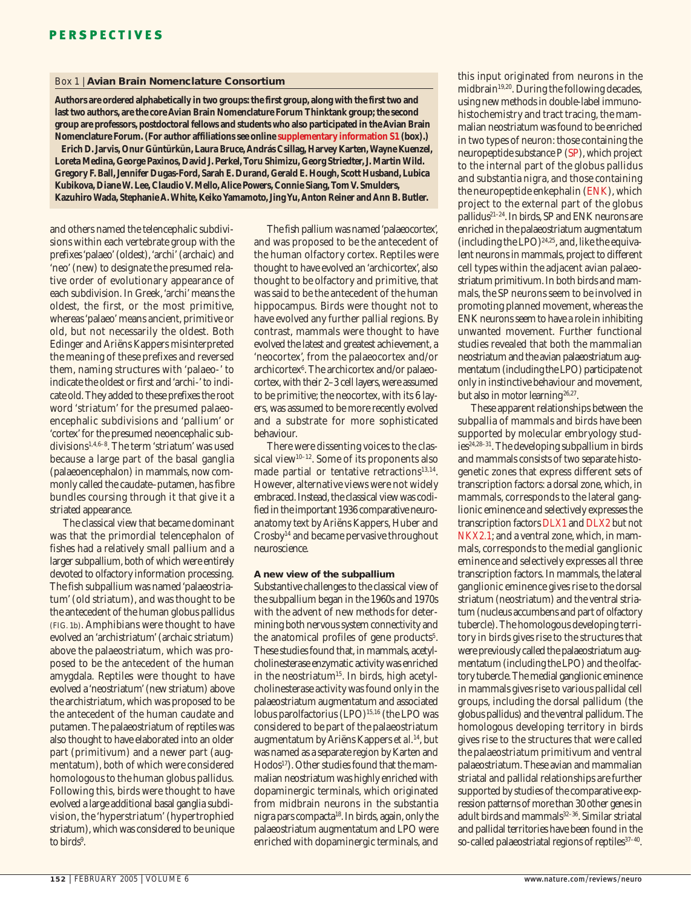#### Box 1 | **Avian Brain Nomenclature Consortium**

**Authors are ordered alphabetically in two groups: the first group, along with the first two and last two authors, are the core Avian Brain Nomenclature Forum Thinktank group; the second group are professors, postdoctoral fellows and students who also participated in the Avian Brain Nomenclature Forum. (For author affiliations see online supplementary information S1 (box).)**

**Erich D. Jarvis, Onur Güntürkün, Laura Bruce, András Csillag, Harvey Karten, Wayne Kuenzel, Loreta Medina, George Paxinos, David J. Perkel, Toru Shimizu, Georg Striedter, J. Martin Wild. Gregory F. Ball, Jennifer Dugas-Ford, Sarah E. Durand, Gerald E. Hough, Scott Husband, Lubica Kubikova, Diane W. Lee, Claudio V. Mello, Alice Powers, Connie Siang, Tom V. Smulders, Kazuhiro Wada, Stephanie A. White, Keiko Yamamoto, Jing Yu, Anton Reiner and Ann B. Butler.**

and others named the telencephalic subdivisions within each vertebrate group with the prefixes 'palaeo' (oldest),'archi' (archaic) and 'neo' (new) to designate the presumed relative order of evolutionary appearance of each subdivision. In Greek,'archi' means the oldest, the first, or the most primitive, whereas 'palaeo' means ancient, primitive or old, but not necessarily the oldest. Both Edinger and Ariëns Kappers misinterpreted the meaning of these prefixes and reversed them, naming structures with 'palaeo-' to indicate the oldest or first and 'archi-' to indicate old. They added to these prefixes the root word 'striatum' for the presumed palaeoencephalic subdivisions and 'pallium' or 'cortex' for the presumed neoencephalic subdivisions1,4,6–8. The term 'striatum' was used because a large part of the basal ganglia (palaeoencephalon) in mammals, now commonly called the caudate–putamen, has fibre bundles coursing through it that give it a striated appearance.

The classical view that became dominant was that the primordial telencephalon of fishes had a relatively small pallium and a larger subpallium, both of which were entirely devoted to olfactory information processing. The fish subpallium was named 'palaeostriatum' (old striatum), and was thought to be the antecedent of the human globus pallidus (FIG. 1b). Amphibians were thought to have evolved an 'archistriatum' (archaic striatum) above the palaeostriatum, which was proposed to be the antecedent of the human amygdala. Reptiles were thought to have evolved a 'neostriatum' (new striatum) above the archistriatum, which was proposed to be the antecedent of the human caudate and putamen. The palaeostriatum of reptiles was also thought to have elaborated into an older part (primitivum) and a newer part (augmentatum), both of which were considered homologous to the human globus pallidus. Following this, birds were thought to have evolved a large additional basal ganglia subdivision, the 'hyperstriatum' (hypertrophied striatum), which was considered to be unique to birds<sup>9</sup>.

The fish pallium was named 'palaeocortex', and was proposed to be the antecedent of the human olfactory cortex. Reptiles were thought to have evolved an 'archicortex', also thought to be olfactory and primitive, that was said to be the antecedent of the human hippocampus. Birds were thought not to have evolved any further pallial regions. By contrast, mammals were thought to have evolved the latest and greatest achievement, a 'neocortex', from the palaeocortex and/or archicortex6 . The archicortex and/or palaeocortex, with their 2–3 cell layers, were assumed to be primitive; the neocortex, with its 6 layers, was assumed to be more recently evolved and a substrate for more sophisticated behaviour.

There were dissenting voices to the classical view<sup>10-12</sup>. Some of its proponents also made partial or tentative retractions<sup>13,14</sup>. However, alternative views were not widely embraced. Instead, the classical view was codified in the important 1936 comparative neuroanatomy text by Ariëns Kappers, Huber and Crosby14 and became pervasive throughout neuroscience.

#### **A new view of the subpallium**

Substantive challenges to the classical view of the subpallium began in the 1960s and 1970s with the advent of new methods for determining both nervous system connectivity and the anatomical profiles of gene products<sup>5</sup>. These studies found that, in mammals, acetylcholinesterase enzymatic activity was enriched in the neostriatum<sup>15</sup>. In birds, high acetylcholinesterase activity was found only in the palaeostriatum augmentatum and associated lobus parolfactorius (LPO)<sup>15,16</sup> (the LPO was considered to be part of the palaeostriatum augmentatum by Ariëns Kappers *et al.*14, but was named as a separate region by Karten and Hodos<sup>17</sup>). Other studies found that the mammalian neostriatum was highly enriched with dopaminergic terminals, which originated from midbrain neurons in the substantia nigra pars compacta18. In birds, again, only the palaeostriatum augmentatum and LPO were enriched with dopaminergic terminals, and

this input originated from neurons in the midbrain<sup>19,20</sup>. During the following decades, using new methods in double-label immunohistochemistry and tract tracing, the mammalian neostriatum was found to be enriched in two types of neuron: those containing the neuropeptide substance P (SP), which project to the internal part of the globus pallidus and substantia nigra, and those containing the neuropeptide enkephalin (ENK), which project to the external part of the globus pallidus21–24. In birds, SP and ENK neurons are enriched in the palaeostriatum augmentatum (including the LPO)<sup>24,25</sup>, and, like the equivalent neurons in mammals, project to different cell types within the adjacent avian palaeostriatum primitivum. In both birds and mammals, the SP neurons seem to be involved in promoting planned movement, whereas the ENK neurons seem to have a role in inhibiting unwanted movement. Further functional studies revealed that both the mammalian neostriatum and the avian palaeostriatum augmentatum (including the LPO) participate not only in instinctive behaviour and movement, but also in motor learning  $26,27$ .

These apparent relationships between the subpallia of mammals and birds have been supported by molecular embryology studies<sup>24,28-31</sup>. The developing subpallium in birds and mammals consists of two separate histogenetic zones that express different sets of transcription factors: a dorsal zone, which, in mammals, corresponds to the lateral ganglionic eminence and selectively expresses the transcription factors *DLX1* and *DLX2* but not *NKX2.1*; and a ventral zone, which, in mammals, corresponds to the medial ganglionic eminence and selectively expresses all three transcription factors. In mammals, the lateral ganglionic eminence gives rise to the dorsal striatum (neostriatum) and the ventral striatum (nucleus accumbens and part of olfactory tubercle). The homologous developing territory in birds gives rise to the structures that were previously called the palaeostriatum augmentatum (including the LPO) and the olfactory tubercle. The medial ganglionic eminence in mammals gives rise to various pallidal cell groups, including the dorsal pallidum (the globus pallidus) and the ventral pallidum. The homologous developing territory in birds gives rise to the structures that were called the palaeostriatum primitivum and ventral palaeostriatum. These avian and mammalian striatal and pallidal relationships are further supported by studies of the comparative expression patterns of more than 30 other genes in adult birds and mammals<sup>32-36</sup>. Similar striatal and pallidal territories have been found in the so-called palaeostriatal regions of reptiles<sup>37-40</sup>.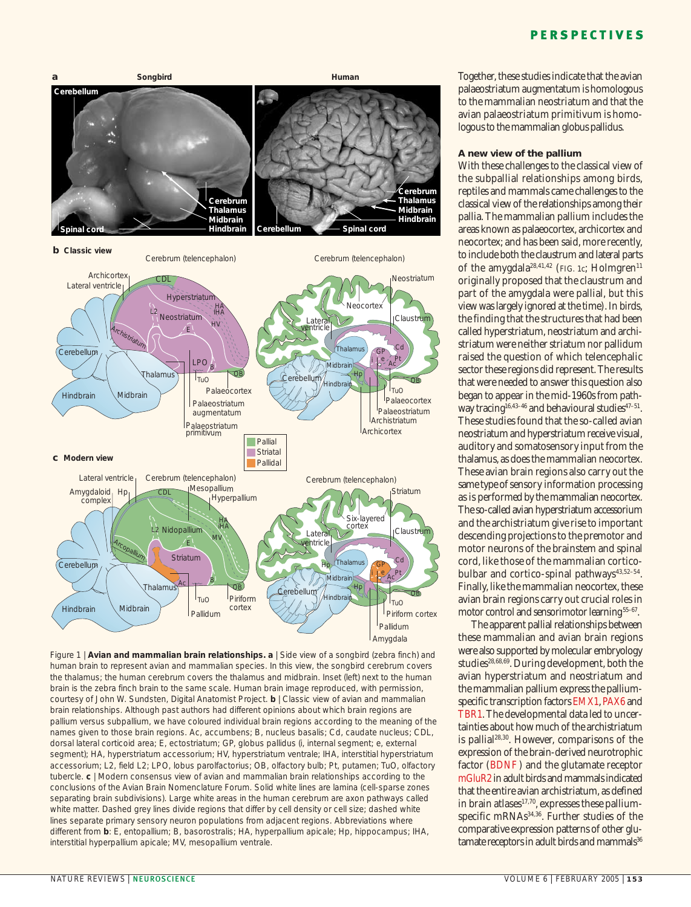



Figure 1 | Avian and mammalian brain relationships. a | Side view of a songbird (zebra finch) and human brain to represent avian and mammalian species. In this view, the songbird cerebrum covers the thalamus; the human cerebrum covers the thalamus and midbrain. Inset (left) next to the human brain is the zebra finch brain to the same scale. Human brain image reproduced, with permission, courtesy of John W. Sundsten, Digital Anatomist Project. **b** | Classic view of avian and mammalian brain relationships. Although past authors had different opinions about which brain regions are pallium versus subpallium, we have coloured individual brain regions according to the meaning of the names given to those brain regions. Ac, accumbens; B, nucleus basalis; Cd, caudate nucleus; CDL, dorsal lateral corticoid area; E, ectostriatum; GP, globus pallidus (i, internal segment; e, external segment); HA, hyperstriatum accessorium; HV, hyperstriatum ventrale; IHA, interstitial hyperstriatum accessorium; L2, field L2; LPO, lobus parolfactorius; OB, olfactory bulb; Pt, putamen; TuO, olfactory tubercle. **c** | Modern consensus view of avian and mammalian brain relationships according to the conclusions of the Avian Brain Nomenclature Forum. Solid white lines are lamina (cell-sparse zones separating brain subdivisions). Large white areas in the human cerebrum are axon pathways called white matter. Dashed grey lines divide regions that differ by cell density or cell size; dashed white lines separate primary sensory neuron populations from adjacent regions. Abbreviations where different from **b**: E, entopallium; B, basorostralis; HA, hyperpallium apicale; Hp, hippocampus; IHA, interstitial hyperpallium apicale; MV, mesopallium ventrale.

Together, these studies indicate that the avian palaeostriatum augmentatum is homologous to the mammalian neostriatum and that the avian palaeostriatum primitivum is homologous to the mammalian globus pallidus.

#### **A new view of the pallium**

With these challenges to the classical view of the subpallial relationships among birds, reptiles and mammals came challenges to the classical view of the relationships among their pallia. The mammalian pallium includes the areas known as palaeocortex, archicortex and neocortex; and has been said, more recently, to include both the claustrum and lateral parts of the amygdala<sup>28,41,42</sup> (FIG. 1c; Holmgren<sup>11</sup> originally proposed that the claustrum and part of the amygdala were pallial, but this view was largely ignored at the time). In birds, the finding that the structures that had been called hyperstriatum, neostriatum and archistriatum were neither striatum nor pallidum raised the question of which telencephalic sector these regions did represent. The results that were needed to answer this question also began to appear in the mid-1960s from pathway tracing<sup>16,43-46</sup> and behavioural studies $47-51$ . These studies found that the so-called avian neostriatum and hyperstriatum receive visual, auditory and somatosensory input from the thalamus, as does the mammalian neocortex. These avian brain regions also carry out the same type of sensory information processing as is performed by the mammalian neocortex. The so-called avian hyperstriatum accessorium and the archistriatum give rise to important descending projections to the premotor and motor neurons of the brainstem and spinal cord, like those of the mammalian corticobulbar and cortico-spinal pathways<sup>43,52-54</sup>. Finally, like the mammalian neocortex, these avian brain regions carry out crucial roles in motor control and sensorimotor learning<sup>55-67</sup>.

The apparent pallial relationships between these mammalian and avian brain regions were also supported by molecular embryology studies<sup>28,68,69</sup>. During development, both the avian hyperstriatum and neostriatum and the mammalian pallium express the palliumspecific transcription factors *EMX1*,*PAX6* and *TBR1*. The developmental data led to uncertainties about how much of the archistriatum is pallial<sup>28,30</sup>. However, comparisons of the expression of the brain-derived neurotrophic factor (*BDNF* ) and the glutamate receptor *mGluR2* in adult birds and mammals indicated that the entire avian archistriatum, as defined in brain atlases $17,70$ , expresses these palliumspecific mRNAs<sup>34,36</sup>. Further studies of the comparative expression patterns of other glutamate receptors in adult birds and mammals<sup>36</sup>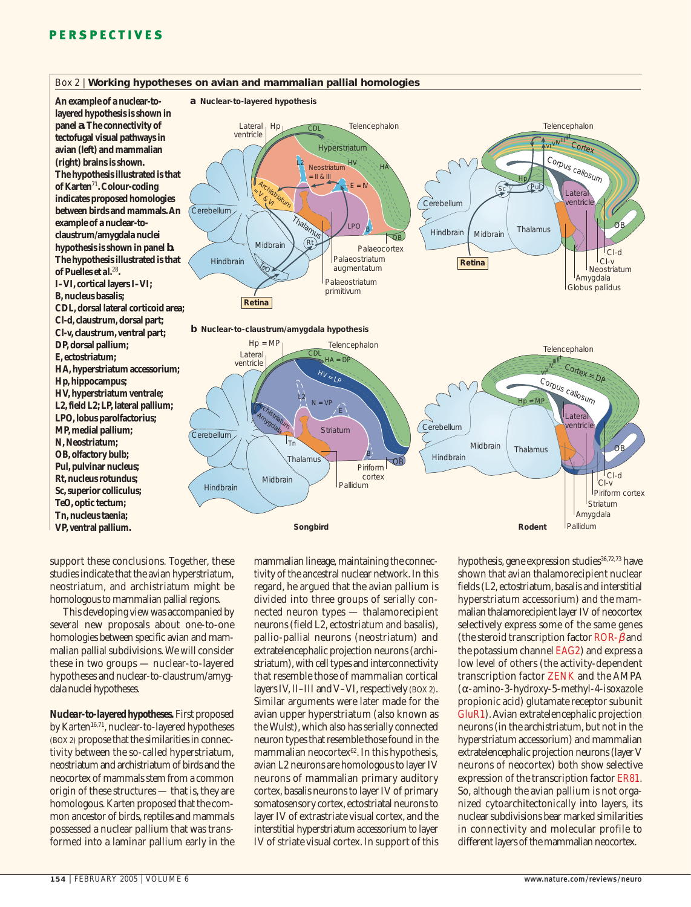

support these conclusions. Together, these studies indicate that the avian hyperstriatum, neostriatum, and archistriatum might be homologous to mammalian pallial regions.

This developing view was accompanied by several new proposals about one-to-one homologies between specific avian and mammalian pallial subdivisions. We will consider these in two groups — nuclear-to-layered hypotheses and nuclear-to-claustrum/amygdala nuclei hypotheses.

*Nuclear-to-layered hypotheses.* First proposed by Karten<sup>16,71</sup>, nuclear-to-layered hypotheses (BOX 2) propose that the similarities in connectivity between the so-called hyperstriatum, neostriatum and archistriatum of birds and the neocortex of mammals stem from a common origin of these structures — that is, they are homologous. Karten proposed that the common ancestor of birds, reptiles and mammals possessed a nuclear pallium that was transformed into a laminar pallium early in the mammalian lineage, maintaining the connectivity of the ancestral nuclear network. In this regard, he argued that the avian pallium is divided into three groups of serially connected neuron types — thalamorecipient neurons (field L2, ectostriatum and basalis), pallio-pallial neurons (neostriatum) and extratelencephalic projection neurons (archistriatum), with cell types and interconnectivity that resemble those of mammalian cortical layers IV, II–III and V–VI, respectively (BOX 2). Similar arguments were later made for the avian upper hyperstriatum (also known as the Wulst), which also has serially connected neuron types that resemble those found in the mammalian neocortex $62$ . In this hypothesis, avian L2 neurons are homologous to layer IV neurons of mammalian primary auditory cortex, basalis neurons to layer IV of primary somatosensory cortex, ectostriatal neurons to layer IV of extrastriate visual cortex, and the interstitial hyperstriatum accessorium to layer IV of striate visual cortex. In support of this

hypothesis, gene expression studies<sup>36,72,73</sup> have shown that avian thalamorecipient nuclear fields (L2, ectostriatum, basalis and interstitial hyperstriatum accessorium) and the mammalian thalamorecipient layer IV of neocortex selectively express some of the same genes (the steroid transcription factor *ROR-*β and the potassium channel *EAG2*) and express a low level of others (the activity-dependent transcription factor *ZENK* and the AMPA (α-amino-3-hydroxy-5-methyl-4-isoxazole propionic acid) glutamate receptor subunit *GluR1*). Avian extratelencephalic projection neurons (in the archistriatum, but not in the hyperstriatum accessorium) and mammalian extratelencephalic projection neurons (layer V neurons of neocortex) both show selective expression of the transcription factor *ER81*. So, although the avian pallium is not organized cytoarchitectonically into layers, its nuclear subdivisions bear marked similarities in connectivity and molecular profile to different layers of the mammalian neocortex.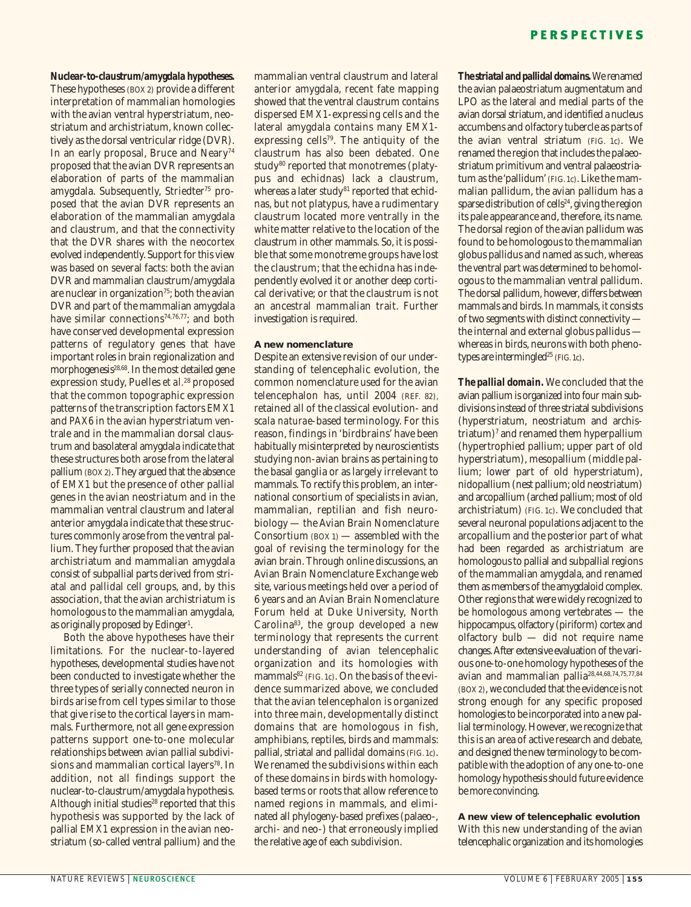*Nuclear-to-claustrum/amygdala hypotheses.* These hypotheses (BOX 2) provide a different interpretation of mammalian homologies with the avian ventral hyperstriatum, neostriatum and archistriatum, known collectively as the dorsal ventricular ridge (DVR). In an early proposal, Bruce and Neary<sup>74</sup> proposed that the avian DVR represents an elaboration of parts of the mammalian amygdala. Subsequently, Striedter<sup>75</sup> proposed that the avian DVR represents an elaboration of the mammalian amygdala and claustrum, and that the connectivity that the DVR shares with the neocortex evolved independently. Support for this view was based on several facts: both the avian DVR and mammalian claustrum/amygdala are nuclear in organization<sup>75</sup>; both the avian DVR and part of the mammalian amygdala have similar connections<sup>74,76,77</sup>; and both have conserved developmental expression patterns of regulatory genes that have important roles in brain regionalization and morphogenesis<sup>28,68</sup>. In the most detailed gene expression study, Puelles *et al.*<sup>28</sup> proposed that the common topographic expression patterns of the transcription factors *EMX1* and *PAX6* in the avian hyperstriatum ventrale and in the mammalian dorsal claustrum and basolateral amygdala indicate that these structures both arose from the lateral pallium (BOX 2). They argued that the absence of *EMX1* but the presence of other pallial genes in the avian neostriatum and in the mammalian ventral claustrum and lateral anterior amygdala indicate that these structures commonly arose from the ventral pallium. They further proposed that the avian archistriatum and mammalian amygdala consist of subpallial parts derived from striatal and pallidal cell groups, and, by this association, that the avian archistriatum is homologous to the mammalian amygdala, as originally proposed by Edinger<sup>1</sup>. Both the above hypotheses have their

limitations. For the nuclear-to-layered hypotheses, developmental studies have not been conducted to investigate whether the three types of serially connected neuron in birds arise from cell types similar to those that give rise to the cortical layers in mammals. Furthermore, not all gene expression patterns support one-to-one molecular relationships between avian pallial subdivisions and mammalian cortical layers<sup>78</sup>. In addition, not all findings support the nuclear-to-claustrum/amygdala hypothesis. Although initial studies<sup>28</sup> reported that this hypothesis was supported by the lack of pallial *EMX1* expression in the avian neostriatum (so-called ventral pallium) and the

mammalian ventral claustrum and lateral anterior amygdala, recent fate mapping showed that the ventral claustrum contains dispersed *EMX1*-expressing cells and the lateral amygdala contains many *EMX1* expressing cells<sup>79</sup>. The antiquity of the claustrum has also been debated. One study<sup>80</sup> reported that monotremes (platypus and echidnas) lack a claustrum, whereas a later study<sup>81</sup> reported that echidnas, but not platypus, have a rudimentary claustrum located more ventrally in the white matter relative to the location of the claustrum in other mammals. So, it is possible that some monotreme groups have lost the claustrum; that the echidna has independently evolved it or another deep cortical derivative; or that the claustrum is not an ancestral mammalian trait. Further investigation is required.

#### **A new nomenclature**

Despite an extensive revision of our understanding of telencephalic evolution, the common nomenclature used for the avian telencephalon has, until 2004 (REF. 82), retained all of the classical evolution- and *scala naturae*-based terminology. For this reason, findings in 'birdbrains' have been habitually misinterpreted by neuroscientists studying non-avian brains as pertaining to the basal ganglia or as largely irrelevant to mammals. To rectify this problem, an international consortium of specialists in avian, mammalian, reptilian and fish neurobiology — the Avian Brain Nomenclature Consortium (BOX 1) — assembled with the goal of revising the terminology for the avian brain. Through online discussions, an Avian Brain Nomenclature Exchange web site, various meetings held over a period of 6 years and an Avian Brain Nomenclature Forum held at Duke University, North Carolina83, the group developed a new terminology that represents the current understanding of avian telencephalic organization and its homologies with mammals<sup>82</sup> (FIG. 1c). On the basis of the evidence summarized above, we concluded that the avian telencephalon is organized into three main, developmentally distinct domains that are homologous in fish, amphibians, reptiles, birds and mammals: pallial, striatal and pallidal domains (FIG. 1c). We renamed the subdivisions within each of these domains in birds with homologybased terms or roots that allow reference to named regions in mammals, and eliminated all phylogeny-based prefixes (palaeo-, archi- and neo-) that erroneously implied the relative age of each subdivision.

*The striatal and pallidal domains.*We renamed the avian palaeostriatum augmentatum and LPO as the lateral and medial parts of the avian dorsal striatum, and identified a nucleus accumbens and olfactory tubercle as parts of the avian ventral striatum (FIG. 1c). We renamed the region that includes the palaeostriatum primitivum and ventral palaeostriatum as the 'pallidum'(FIG. 1c). Like the mammalian pallidum, the avian pallidum has a sparse distribution of cells<sup>24</sup>, giving the region its pale appearance and, therefore, its name. The dorsal region of the avian pallidum was found to be homologous to the mammalian globus pallidus and named as such, whereas the ventral part was determined to be homologous to the mammalian ventral pallidum. The dorsal pallidum, however, differs between mammals and birds. In mammals, it consists of two segments with distinct connectivity the internal and external globus pallidus whereas in birds, neurons with both phenotypes are intermingled $25$  (FIG. 1c).

*The pallial domain.* We concluded that the avian pallium is organized into four main subdivisions instead of three striatal subdivisions (hyperstriatum, neostriatum and archistriatum)<sup>7</sup> and renamed them hyperpallium (hypertrophied pallium; upper part of old hyperstriatum), mesopallium (middle pallium; lower part of old hyperstriatum), nidopallium (nest pallium; old neostriatum) and arcopallium (arched pallium; most of old archistriatum) (FIG. 1c). We concluded that several neuronal populations adjacent to the arcopallium and the posterior part of what had been regarded as archistriatum are homologous to pallial and subpallial regions of the mammalian amygdala, and renamed them as members of the amygdaloid complex. Other regions that were widely recognized to be homologous among vertebrates — the hippocampus, olfactory (piriform) cortex and olfactory bulb — did not require name changes.After extensive evaluation of the various one-to-one homology hypotheses of the avian and mammalian pallia28,44,68,74,75,77,84 (BOX 2), we concluded that the evidence is not strong enough for any specific proposed homologies to be incorporated into a new pallial terminology. However, we recognize that this is an area of active research and debate, and designed the new terminology to be compatible with the adoption of any one-to-one homology hypothesis should future evidence be more convincing.

**A new view of telencephalic evolution** With this new understanding of the avian telencephalic organization and its homologies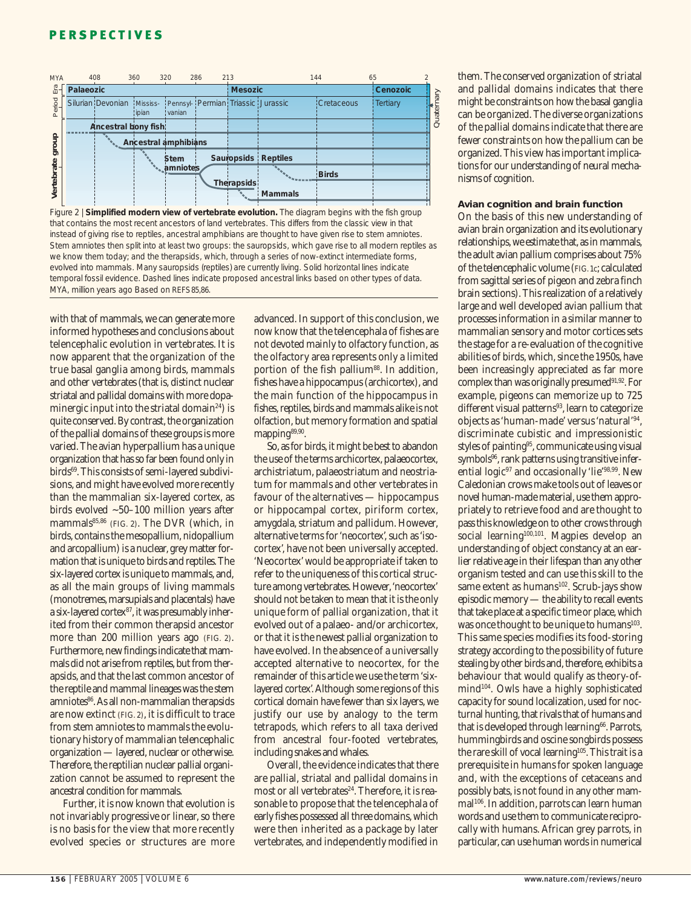

Figure 2 | **Simplified modern view of vertebrate evolution.** The diagram begins with the fish group that contains the most recent ancestors of land vertebrates. This differs from the classic view in that instead of giving rise to reptiles, ancestral amphibians are thought to have given rise to stem amniotes. Stem amniotes then split into at least two groups: the sauropsids, which gave rise to all modern reptiles as we know them today; and the therapsids, which, through a series of now-extinct intermediate forms, evolved into mammals. Many sauropsids (reptiles) are currently living. Solid horizontal lines indicate temporal fossil evidence. Dashed lines indicate proposed ancestral links based on other types of data. MYA, million years ago Based on REFS 85,86.

with that of mammals, we can generate more informed hypotheses and conclusions about telencephalic evolution in vertebrates. It is now apparent that the organization of the true basal ganglia among birds, mammals and other vertebrates (that is, distinct nuclear striatal and pallidal domains with more dopaminergic input into the striatal domain<sup>24</sup>) is quite conserved. By contrast, the organization of the pallial domains of these groups is more varied. The avian hyperpallium has a unique organization that has so far been found only in birds69. This consists of semi-layered subdivisions, and might have evolved more recently than the mammalian six-layered cortex, as birds evolved ~50–100 million years after mammals<sup>85,86</sup> (FIG. 2). The DVR (which, in birds, contains the mesopallium, nidopallium and arcopallium) is a nuclear, grey matter formation that is unique to birds and reptiles. The six-layered cortex is unique to mammals, and, as all the main groups of living mammals (monotremes, marsupials and placentals) have a six-layered cortex $87$ , it was presumably inherited from their common therapsid ancestor more than 200 million years ago (FIG. 2). Furthermore, new findings indicate that mammals did not arise from reptiles, but from therapsids, and that the last common ancestor of the reptile and mammal lineages was the stem amniotes<sup>86</sup>. As all non-mammalian therapsids are now extinct (FIG. 2), it is difficult to trace from stem amniotes to mammals the evolutionary history of mammalian telencephalic organization — layered, nuclear or otherwise. Therefore, the reptilian nuclear pallial organization cannot be assumed to represent the ancestral condition for mammals.

Further, it is now known that evolution is not invariably progressive or linear, so there is no basis for the view that more recently evolved species or structures are more

advanced. In support of this conclusion, we now know that the telencephala of fishes are not devoted mainly to olfactory function, as the olfactory area represents only a limited portion of the fish pallium<sup>88</sup>. In addition, fishes have a hippocampus (archicortex), and the main function of the hippocampus in fishes, reptiles, birds and mammals alike is not olfaction, but memory formation and spatial mapping<sup>89,90</sup>.

So, as for birds, it might be best to abandon the use of the terms archicortex, palaeocortex, archistriatum, palaeostriatum and neostriatum for mammals and other vertebrates in favour of the alternatives — hippocampus or hippocampal cortex, piriform cortex, amygdala, striatum and pallidum. However, alternative terms for 'neocortex', such as 'isocortex', have not been universally accepted. 'Neocortex' would be appropriate if taken to refer to the uniqueness of this cortical structure among vertebrates. However,'neocortex' should not be taken to mean that it is the only unique form of pallial organization, that it evolved out of a palaeo- and/or archicortex, or that it is the newest pallial organization to have evolved. In the absence of a universally accepted alternative to neocortex, for the remainder of this article we use the term 'sixlayered cortex'. Although some regions of this cortical domain have fewer than six layers, we justify our use by analogy to the term tetrapods, which refers to all taxa derived from ancestral four-footed vertebrates, including snakes and whales.

Overall, the evidence indicates that there are pallial, striatal and pallidal domains in most or all vertebrates<sup>24</sup>. Therefore, it is reasonable to propose that the telencephala of early fishes possessed all three domains, which were then inherited as a package by later vertebrates, and independently modified in

them. The conserved organization of striatal and pallidal domains indicates that there might be constraints on how the basal ganglia can be organized. The diverse organizations of the pallial domains indicate that there are fewer constraints on how the pallium can be organized. This view has important implications for our understanding of neural mechanisms of cognition.

#### **Avian cognition and brain function**

On the basis of this new understanding of avian brain organization and its evolutionary relationships, we estimate that, as in mammals, the adult avian pallium comprises about 75% of the telencephalic volume (FIG. 1c; calculated from sagittal series of pigeon and zebra finch brain sections). This realization of a relatively large and well developed avian pallium that processes information in a similar manner to mammalian sensory and motor cortices sets the stage for a re-evaluation of the cognitive abilities of birds, which, since the 1950s, have been increasingly appreciated as far more complex than was originally presumed $91,92$ . For example, pigeons can memorize up to 725 different visual patterns<sup>93</sup>, learn to categorize objects as 'human-made' versus 'natural'94, discriminate cubistic and impressionistic styles of painting<sup>95</sup>, communicate using visual symbols<sup>96</sup>, rank patterns using transitive inferential logic<sup>97</sup> and occasionally 'lie'<sup>98,99</sup>. New Caledonian crows make tools out of leaves or novel human-made material, use them appropriately to retrieve food and are thought to pass this knowledge on to other crows through social learning<sup>100,101</sup>. Magpies develop an understanding of object constancy at an earlier relative age in their lifespan than any other organism tested and can use this skill to the same extent as humans<sup>102</sup>. Scrub-jays show episodic memory — the ability to recall events that take place at a specific time or place, which was once thought to be unique to humans<sup>103</sup>. This same species modifies its food-storing strategy according to the possibility of future stealing by other birds and, therefore, exhibits a behaviour that would qualify as theory-ofmind<sup>104</sup>. Owls have a highly sophisticated capacity for sound localization, used for nocturnal hunting, that rivals that of humans and that is developed through learning<sup>66</sup>. Parrots, hummingbirds and oscine songbirds possess the rare skill of vocal learning<sup>105</sup>. This trait is a prerequisite in humans for spoken language and, with the exceptions of cetaceans and possibly bats, is not found in any other mammal<sup>106</sup>. In addition, parrots can learn human words and use them to communicate reciprocally with humans. African grey parrots, in particular, can use human words in numerical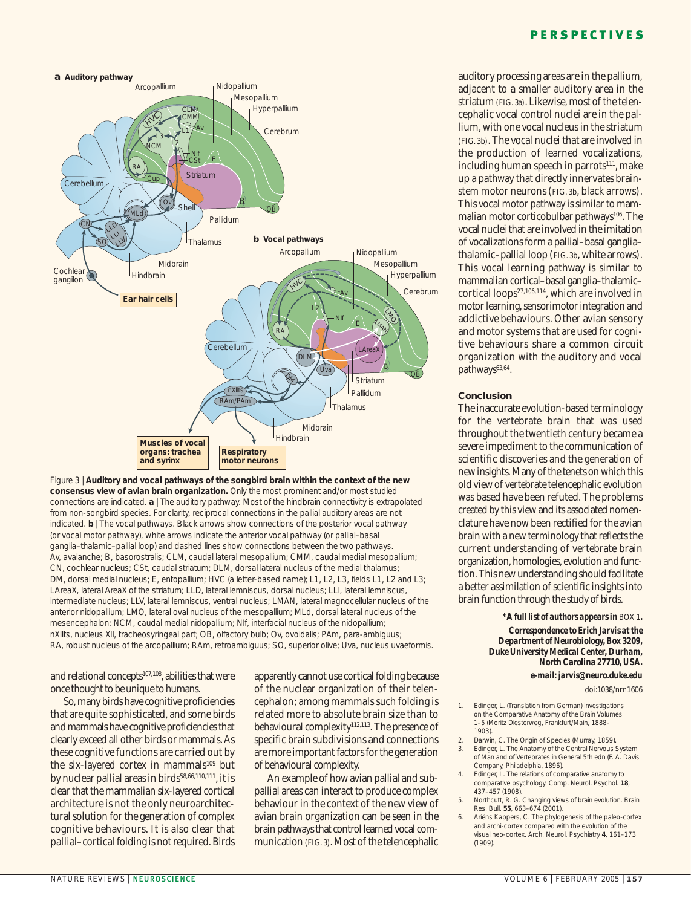



and relational concepts<sup>107,108</sup>, abilities that were once thought to be unique to humans.

So, many birds have cognitive proficiencies that are quite sophisticated, and some birds and mammals have cognitive proficiencies that clearly exceed all other birds or mammals. As these cognitive functions are carried out by the six-layered cortex in mammals<sup>109</sup> but by nuclear pallial areas in birds<sup>58,66,110,111</sup>, it is clear that the mammalian six-layered cortical architecture is not the only neuroarchitectural solution for the generation of complex cognitive behaviours. It is also clear that pallial–cortical folding is not required. Birds

apparently cannot use cortical folding because of the nuclear organization of their telencephalon; among mammals such folding is related more to absolute brain size than to behavioural complexity<sup>112,113</sup>. The presence of specific brain subdivisions and connections are more important factors for the generation of behavioural complexity.

An example of how avian pallial and subpallial areas can interact to produce complex behaviour in the context of the new view of avian brain organization can be seen in the brain pathways that control learned vocal communication (FIG. 3). Most of the telencephalic

auditory processing areas are in the pallium, adjacent to a smaller auditory area in the striatum (FIG. 3a). Likewise, most of the telencephalic vocal control nuclei are in the pallium, with one vocal nucleus in the striatum (FIG. 3b). The vocal nuclei that are involved in the production of learned vocalizations, including human speech in parrots<sup>111</sup>, make up a pathway that directly innervates brainstem motor neurons (FIG. 3b, black arrows). This vocal motor pathway is similar to mammalian motor corticobulbar pathways<sup>106</sup>. The vocal nuclei that are involved in the imitation of vocalizations form a pallial–basal ganglia– thalamic–pallial loop (FIG. 3b, white arrows). This vocal learning pathway is similar to mammalian cortical–basal ganglia–thalamic– cortical loops27,106,114, which are involved in motor learning, sensorimotor integration and addictive behaviours. Other avian sensory and motor systems that are used for cognitive behaviours share a common circuit organization with the auditory and vocal pathways<sup>63,64</sup>.

#### **Conclusion**

The inaccurate evolution-based terminology for the vertebrate brain that was used throughout the twentieth century became a severe impediment to the communication of scientific discoveries and the generation of new insights. Many of the tenets on which this old view of vertebrate telencephalic evolution was based have been refuted. The problems created by this view and its associated nomenclature have now been rectified for the avian brain with a new terminology that reflects the current understanding of vertebrate brain organization, homologies, evolution and function. This new understanding should facilitate a better assimilation of scientific insights into brain function through the study of birds.

#### *\*A full list of authors appears in* BOX 1*.*

*Correspondence to Erich Jarvis at the Department of Neurobiology, Box 3209, Duke University Medical Center, Durham, North Carolina 27710, USA.*

*e-mail: jarvis@neuro.duke.edu*

doi:1038/nrn1606

- 1. Edinger, L. (Translation from German) *Investigations on the Comparative Anatomy of the Brain* Volumes 1–5 (Moritz Diesterweg, Frankfurt/Main, 1888– 1903).
- 2. Darwin, C. *The Origin of Species* (Murray, 1859).
- 3. Edinger, L. *The Anatomy of the Central Nervous System of Man and of Vertebrates in General* 5th edn (F. A. Davis Company, Philadelphia, 1896).
- 4. Edinger, L. The relations of comparative anatomy to comparative psychology. *Comp. Neurol. Psychol.* **18**, 437–457 (1908).
- 5. Northcutt, R. G. Changing views of brain evolution. *Brain Res. Bull.* **55**, 663–674 (2001).
- 6. Ariëns Kappers, C. The phylogenesis of the paleo-cortex and archi-cortex compared with the evolution of the visual neo-cortex. *Arch. Neurol. Psychiatry* **4**, 161–173  $(1909)$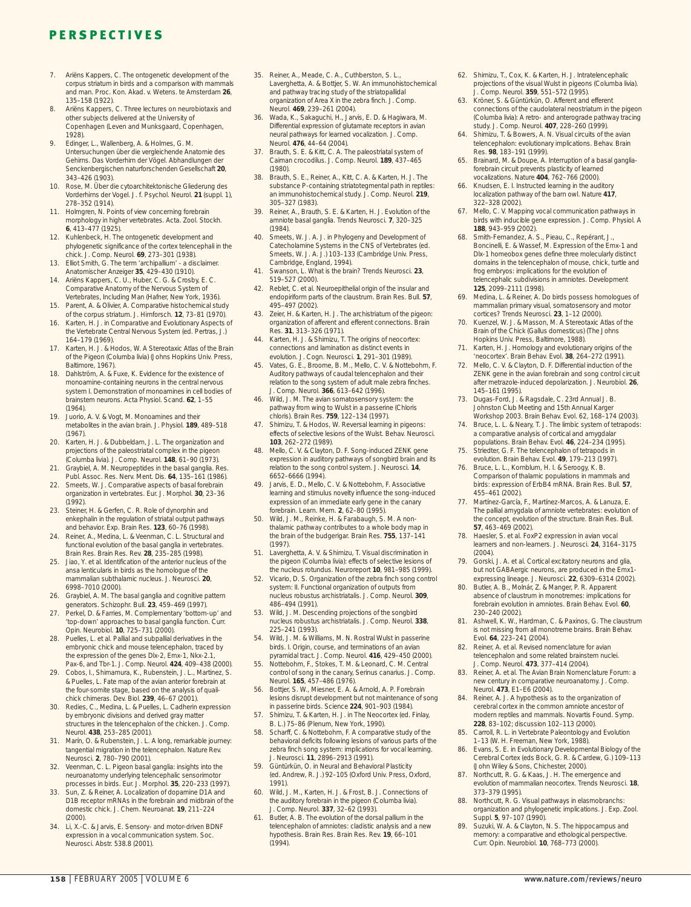- 7. Ariëns Kappers, C. The ontogenetic development of the corpus striatum in birds and a comparison with mammals and man. *Proc. Kon. Akad. v. Wetens. te Amsterdam* **26**, 135–158 (1922).
- 8. Ariëns Kappers, C. Three lectures on neurobiotaxis and other subjects delivered at the University of Copenhagen (Leven and Munksgaard, Copenhagen, 1928).
- 9. Edinger, L., Wallenberg, A. & Holmes, G. M. Untersuchungen über die vergleichende Anatomie des Gehirns. Das Vorderhirn der Vögel. *Abhandlungen der Senckenbergischen naturforschenden Gesellschaft* **20**, 343–426 (1903).
- 10. Rose, M. Über die cytoarchitektonische Gliederung des Vorderhirns der Vogel. *J. f. Psychol. Neurol.* **21** (suppl. 1), 278–352 (1914).
- 11. Holmgren, N. Points of view concerning forebrain morphology in higher vertebrates. *Acta. Zool. Stockh.* **6**, 413–477 (1925).
- 12. Kuhlenbeck, H. The ontogenetic development and phylogenetic significance of the cortex telencephali in the chick. *J. Comp. Neurol.* **69**, 273–301 (1938).
- 13. Elliot Smith, G. The term 'archipallium' a disclaimer. *Anatomischer Anzeiger* **35**, 429–430 (1910).
- 14. Ariëns Kappers, C. U., Huber, C. G. & Crosby, E. C. *Comparative Anatomy of the Nervous System of Vertebrates, Including Man* (Hafner, New York, 1936). 15. Parent, A. & Olivier, A. Comparative histochemical study
- of the corpus striatum. *J. Hirnforsch.* **12**, 73–81 (1970).
- 16. Karten, H. J. in *Comparative and Evolutionary Aspects of the Vertebrate Central Nervous System* (ed. Pertras, J.) 164–179 (1969).
- 17. Karten, H. J. & Hodos, W. *A Stereotaxic Atlas of the Brain of the Pigeon (Columba livia)* (Johns Hopkins Univ. Press, Baltimore, 1967).
- 18. Dahlström, A. & Fuxe, K. Evidence for the existence of monoamine-containing neurons in the central nervous system I. Demonstration of monoamines in cell bodies of brainstem neurons. *Acta Physiol. Scand.* **62**, 1–55  $(1964)$
- 19. Juorio, A. V. & Vogt, M. Monoamines and their metabolites in the avian brain. *J. Physiol.* **189**, 489–518 (1967).
- 20. Karten, H. J. & Dubbeldam, J. L. The organization and projections of the paleostriatal complex in the pigeon (*Columba livia*). *J. Comp. Neurol.* **148**, 61–90 (1973).
- 21. Graybiel, A. M. Neuropeptides in the basal ganglia. *Res. Publ. Assoc. Res. Nerv. Ment. Dis.* **64**, 135–161 (1986).
- 22. Smeets, W. J. Comparative aspects of basal forebrain organization in vertebrates. *Eur. J. Morphol.* **30**, 23–36 (1992).
- 23. Steiner, H. & Gerfen, C. R. Role of dynorphin and enkephalin in the regulation of striatal output pathways and behavior. *Exp. Brain Res.* **123**, 60–76 (1998).
- 24. Reiner, A., Medina, L. & Veenman, C. L. Structural and functional evolution of the basal ganglia in vertebrates. *Brain Res. Brain Res. Rev.* **28**, 235–285 (1998).
- 25. Jiao, Y. *et al.* Identification of the anterior nucleus of the ansa lenticularis in birds as the homologue of the mammalian subthalamic nucleus. *J. Neurosci.* **20**, 6998–7010 (2000).
- 26. Graybiel, A. M. The basal ganglia and cognitive pattern generators. *Schizophr. Bull.* **23**, 459–469 (1997).
- 27. Perkel, D. & Farries, M. Complementary 'bottom-up' and 'top-down' approaches to basal ganglia function. *Curr.*
- *Opin. Neurobiol.* **10**, 725–731 (2000). 28. Puelles, L. *et al.* Pallial and subpallial derivatives in the embryonic chick and mouse telencephalon, traced by the expression of the genes *Dlx-2*, *Emx-1*, *Nkx-2.1*, *Pax-6*, and *Tbr-1*. *J. Comp. Neurol.* **424**, 409–438 (2000).
- 29. Cobos, I., Shimamura, K., Rubenstein, J. L., Martinez, S. & Puelles, L. Fate map of the avian anterior forebrain at the four-somite stage, based on the analysis of quailchick chimeras. *Dev. Biol.* **239**, 46–67 (2001).
- 30. Redies, C., Medina, L. & Puelles, L. Cadherin expression by embryonic divisions and derived gray matter structures in the telencephalon of the chicken. *J. Comp. Neurol.* **438**, 253–285 (2001).
- 31. Marín, O. & Rubenstein, J. L. A long, remarkable journey: tangential migration in the telencephalon. *Nature Rev. Neurosci.* **2**, 780–790 (2001).
- 32. Veenman, C. L. Pigeon basal ganglia: insights into the neuroanatomy underlying telencephalic sensorimotor processes in birds. *Eur. J. Morphol.* **35**, 220–233 (1997).
- 33. Sun, Z. & Reiner, A. Localization of dopamine D1A and D1B receptor mRNAs in the forebrain and midbrain of the domestic chick. *J. Chem. Neuroanat.* **19**, 211–224  $(2000)$
- 34. Li, X.-C. & Jarvis, E. Sensory- and motor-driven BDNF expression in a vocal communication system. *Soc. Neurosci. Abstr.* 538.8 (2001).
- 35. Reiner, A., Meade, C. A., Cuthberston, S. L., Laverghetta, A. & Bottjer, S. W. An immunohistochemical and pathway tracing study of the striatopallidal organization of Area X in the zebra finch. *J. Comp. Neurol.* **469**, 239–261 (2004).
- Wada, K., Sakaguchi, H., Jarvis, E. D. & Hagiwara, M. Differential expression of glutamate receptors in avian neural pathways for learned vocalization. *J. Comp.*
- *Neurol.* **476**, 44–64 (2004). 37. Brauth, S. E. & Kitt, C. A. The paleostriatal system of *Caiman crocodilus*. *J. Comp. Neurol.* **189**, 437–465 (1980).
- 38. Brauth, S. E., Reiner, A., Kitt, C. A. & Karten, H. J. The substance P-containing striatotegmental path in reptiles: an immunohistochemical study. *J. Comp. Neurol.* **219**, 305–327 (1983).
- Reiner, A., Brauth, S. E. & Karten, H. J. Evolution of the amniote basal ganglia. *Trends Neurosci.* **7**, 320–325 (1984).
- 40. Smeets, W. J. A. J. *in Phylogeny and Development of Catecholamine Systems in the CNS of Vertebrates* (ed. Smeets, W. J. A. J.) 103–133 (Cambridge Univ. Press, Cambridge, England, 1994).
- 41. Swanson, L. What is the brain? *Trends Neurosci.* **23**, 519–527 (2000). 42. Reblet, C. *et al.* Neuroepithelial origin of the insular and
- endopiriform parts of the claustrum. *Brain Res. Bull.* **57**, 495–497 (2002).
- 43. Zeier, H. & Karten, H. J. The archistriatum of the pigeon: organization of afferent and efferent connections. *Brain*
- *Res.* **31**, 313–326 (1971). 44. Karten, H. J. & Shimizu, T. The origins of neocortex: connections and lamination as distinct events in evolution. *J. Cogn. Neurosci.* **1**, 291–301 (1989).
- 45. Vates, G. E., Broome, B. M., Mello, C. V. & Nottebohm, F. Auditory pathways of caudal telencephalon and their relation to the song system of adult male zebra finches. *J. Comp. Neurol.* **366**, 613–642 (1996).
- 46. Wild, J. M. The avian somatosensory system: the pathway from wing to Wulst in a passerine (*Chloris chloris*). *Brain Res.* **759**, 122–134 (1997).
- 47. Shimizu, T. & Hodos, W. Reversal learning in pigeons: effects of selective lesions of the Wulst. *Behav. Neurosci.* **103**, 262–272 (1989).
- 48. Mello, C. V. & Clayton, D. F. Song-induced *ZENK* gene expression in auditory pathways of songbird brain and its relation to the song control system. *J. Neurosci.* **14**, 6652–6666 (1994).
- 49. Jarvis, E. D., Mello, C. V. & Nottebohm, F. Associative learning and stimulus novelty influence the song-induced expression of an immediate early gene in the canary forebrain. *Learn. Mem.* **2**, 62–80 (1995).
- Wild, J. M., Reinke, H. & Farabaugh, S. M. A nonthalamic pathway contributes to a whole body map in the brain of the budgerigar. *Brain Res.* **755**, 137–141 (1997).
- Laverghetta, A. V. & Shimizu, T. Visual discrimination in the pigeon (*Columba livia*): effects of selective lesions of the nucleus rotundus. *Neuroreport* **10**, 981–985 (1999).
- 52. Vicario, D. S. Organization of the zebra finch song control system: II. Functional organization of outputs from nucleus robustus archistriatalis. *J. Comp. Neurol.* **309**, 486–494 (1991).
- 53. Wild, J. M. Descending projections of the songbird nucleus robustus archistriatalis. *J. Comp. Neurol.* **338**, 225–241 (1993).
- 54. Wild, J. M. & Williams, M. N. Rostral Wulst in passerine birds. I. Origin, course, and terminations of an avian
- pyramidal tract. *J. Comp. Neurol.* **416**, 429–450 (2000). 55. Nottebohm, F., Stokes, T. M. & Leonard, C. M. Central control of song in the canary, *Serinus canarius*. *J. Comp. Neurol.* **165**, 457–486 (1976).
- 56. Bottjer, S. W., Miesner, E. A. & Arnold, A. P. Forebrain lesions disrupt development but not maintenance of song in passerine birds. *Science* **224**, 901–903 (1984).
- 57. Shimizu, T. & Karten, H. J. in *The Neocortex* (ed. Finlay, B. L.) 75–86 (Plenum, New York, 1990).
- 58. Scharff, C. & Nottebohm, F. A comparative study of the behavioral deficits following lesions of various parts of the zebra finch song system: implications for vocal learning. *J. Neurosci.* **11**, 2896–2913 (1991).
- 59. Güntürkün, O. in *Neural and Behavioral Plasticity* (ed. Andrew, R. J.) 92–105 (Oxford Univ. Press, Oxford, 1991).
- 60. Wild, J. M., Karten, H. J. & Frost, B. J. Connections of the auditory forebrain in the pigeon (*Columba livia*). *J. Comp. Neurol.* **337**, 32–62 (1993).
- 61. Butler, A. B. The evolution of the dorsal pallium in the telencephalon of amniotes: cladistic analysis and a new hypothesis. *Brain Res. Brain Res. Rev.* **19**, 66–101 (1994).
- 62. Shimizu, T., Cox, K. & Karten, H. J. Intratelencephalic projections of the visual Wulst in pigeons (*Columba livia*). *J. Comp. Neurol.* **359**, 551–572 (1995).
- 63. Kröner, S. & Güntürkün, O. Afferent and efferent connections of the caudolateral neostriatum in the pigeon (*Columba livia*): A retro- and anterograde pathway tracing study. *J. Comp. Neurol.* **407**, 228–260 (1999).
- 64. Shimizu, T. & Bowers, A. N. Visual circuits of the avian telencephalon: evolutionary implications. *Behav. Brain Res.* **98**, 183–191 (1999).
- Brainard, M. & Doupe, A. Interruption of a basal gangliaforebrain circuit prevents plasticity of learned vocalizations. *Nature* **404**, 762–766 (2000).
- Knudsen, E. I. Instructed learning in the auditory localization pathway of the barn owl. *Nature* **417**, 322–328 (2002).
- Mello, C. V. Mapping vocal communication pathways in birds with inducible gene expression. *J. Comp. Physiol. A* **188**, 943–959 (2002).
- 68. Smith-Fernandez, A. S., Pieau, C., Repérant, J., Boncinelli, E. & Wassef, M. Expression of the *Emx-1* and *Dlx-1* homeobox genes define three molecularly distinct domains in the telencephalon of mouse, chick, turtle and frog embryos: implications for the evolution of telencephalic subdivisions in amniotes. *Development* **125**, 2099–2111 (1998).
- 69. Medina, L. & Reiner, A. Do birds possess homologues of mammalian primary visual, somatosensory and motor cortices? *Trends Neurosci.* **23**, 1–12 (2000).
- 70. Kuenzel, W. J. & Masson, M. *A Stereotaxic Atlas of the Brain of the Chick (Gallus domesticus)* (The Johns Hopkins Univ. Press, Baltimore, 1988).
- 71. Karten, H. J. Homology and evolutionary origins of the 'neocortex'. *Brain Behav. Evol.* **38**, 264–272 (1991).
- Mello, C. V. & Clayton, D. F. Differential induction of the *ZENK* gene in the avian forebrain and song control circuit after metrazole-induced depolarization. *J. Neurobiol.* **26**, 145–161 (1995).
- 73. Dugas-Ford, J. & Ragsdale, C. 23rd Annual J. B. Johnston Club Meeting and 15th Annual Karger Workshop 2003. *Brain Behav. Evol.* 62, 168–174 (2003).
- 74. Bruce, L. L. & Neary, T. J. The limbic system of tetrapods: a comparative analysis of cortical and amygdalar populations. *Brain Behav. Evol.* **46**, 224–234 (1995).
- Striedter, G. F. The telencephalon of tetrapods in evolution. *Brain Behav. Evol.* **49**, 179–213 (1997).
- Bruce, L. L., Kornblum, H. I. & Seroogy, K. B. Comparison of thalamic populations in mammals and birds: expression of ErbB4 mRNA. *Brain Res. Bull.* **57**, 455–461 (2002).
- Martínez-García, F., Martínez-Marcos, A. & Lanuza, E. The pallial amygdala of amniote vertebrates: evolution of the concept, evolution of the structure. *Brain Res. Bull.* **57**, 463–469 (2002).
- 78. Haesler, S. *et al. FoxP2* expression in avian vocal learners and non-learners. *J. Neurosci.* **24**, 3164–3175 (2004).
- Gorski, J. A. *et al.* Cortical excitatory neurons and glia, but not GABAergic neurons, are produced in the Emx1 expressing lineage. *J. Neurosci.* **22**, 6309–6314 (2002).
- 80. Butler, A. B., Molnár, Z. & Manger, P. R. Apparent absence of claustrum in monotremes: implications for forebrain evolution in amniotes. *Brain Behav. Evol.* **60**,
- 230–240 (2002). 81. Ashwell, K. W., Hardman, C. & Paxinos, G. The claustrum is not missing from all monotreme brains. *Brain Behav. Evol.* **64**, 223–241 (2004).
- Reiner, A. *et al.* Revised nomenclature for avian telencephalon and some related brainstem nuclei. *J. Comp. Neurol.* **473**, 377–414 (2004).
- 83. Reiner, A. *et al.* The Avian Brain Nomenclature Forum: a new century in comparative neuroanatomy. *J. Comp. Neurol.* **473**, E1–E6 (2004).
- Reiner, A. J. A hypothesis as to the organization of cerebral cortex in the common amniote ancestor of modern reptiles and mammals. *Novartis Found. Symp.* **228**, 83–102; discussion 102–113 (2000).
- 85. Carroll, R. L. in *Vertebrate Paleontology and Evolution* 1–13 (W. H. Freeman, New York, 1988).
- 86. Evans, S. E. in *Evolutionary Developmental Biology of the Cerebral Cortex* (eds Bock, G. R. & Cardew, G.) 109–113 (John Wiley & Sons, Chichester, 2000).
- 87. Northcutt, R. G. & Kaas, J. H. The emergence and evolution of mammalian neocortex. *Trends Neurosci.* **18**, 373–379 (1995).
- 88. Northcutt, R. G. Visual pathways in elasmobranchs: organization and phylogenetic implications. *J. Exp. Zool. Suppl.* **5**, 97–107 (1990).
- 89. Suzuki, W. A. & Clayton, N. S. The hippocampus and memory: a comparative and ethological perspective. *Curr. Opin. Neurobiol.* **10**, 768–773 (2000).